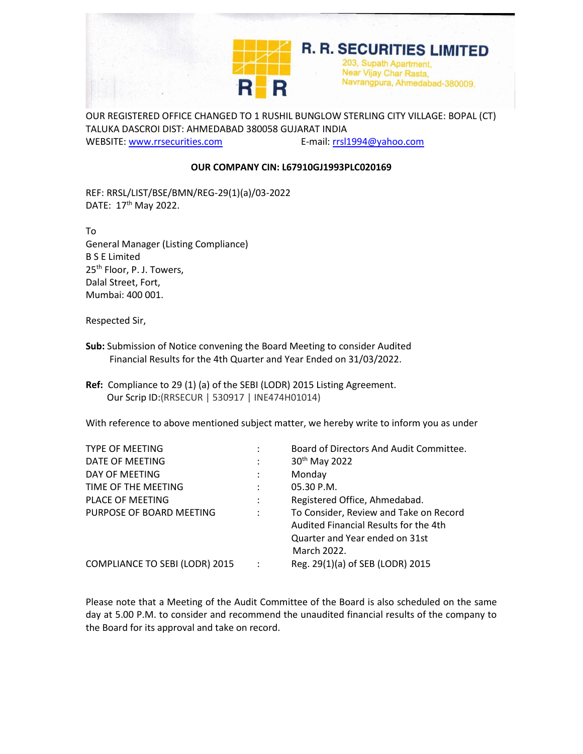

OUR REGISTERED OFFICE CHANGED TO 1 RUSHIL BUNGLOW STERLING CITY VILLAGE: BOPAL (CT) TALUKA DASCROI DIST: AHMEDABAD 380058 GUJARAT INDIA WEBSITE: [www.rrsecurities.com](http://www.rrsecurities.com/) E-mail: [rrsl1994@yahoo.com](mailto:rrsl1994@yahoo.com)

**OUR COMPANY CIN: L67910GJ1993PLC020169**

REF: RRSL/LIST/BSE/BMN/REG-29(1)(a)/03-2022 DATE: 17<sup>th</sup> May 2022.

To General Manager (Listing Compliance) B S E Limited 25<sup>th</sup> Floor, P. J. Towers, Dalal Street, Fort, Mumbai: 400 001.

Respected Sir,

- **Sub:** Submission of Notice convening the Board Meeting to consider Audited Financial Results for the 4th Quarter and Year Ended on 31/03/2022.
- **Ref:** Compliance to 29 (1) (a) of the SEBI (LODR) 2015 Listing Agreement. Our Scrip ID:(RRSECUR | 530917 | INE474H01014)

With reference to above mentioned subject matter, we hereby write to inform you as under

| <b>TYPE OF MEETING</b>         |                | Board of Directors And Audit Committee.                                                                                          |
|--------------------------------|----------------|----------------------------------------------------------------------------------------------------------------------------------|
| DATE OF MEETING                | $\ddot{\cdot}$ | 30 <sup>th</sup> May 2022                                                                                                        |
| DAY OF MEETING                 | ÷              | Monday                                                                                                                           |
| TIME OF THE MEETING            | ÷              | 05.30 P.M.                                                                                                                       |
| <b>PLACE OF MEETING</b>        | ÷              | Registered Office, Ahmedabad.                                                                                                    |
| PURPOSE OF BOARD MEETING       |                | To Consider, Review and Take on Record<br>Audited Financial Results for the 4th<br>Quarter and Year ended on 31st<br>March 2022. |
| COMPLIANCE TO SEBI (LODR) 2015 |                | Reg. 29(1)(a) of SEB (LODR) 2015                                                                                                 |

Please note that a Meeting of the Audit Committee of the Board is also scheduled on the same day at 5.00 P.M. to consider and recommend the unaudited financial results of the company to the Board for its approval and take on record.